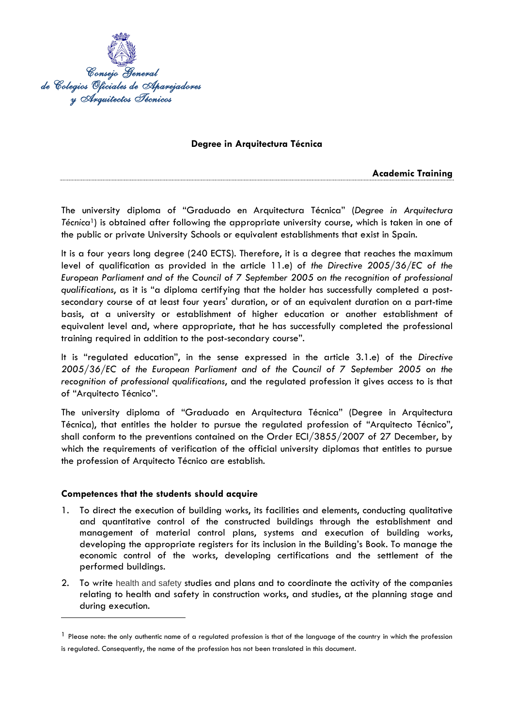

# **Degree in Arquitectura Técnica**

**Academic Training**

The university diploma of "Graduado en Arquitectura Técnica" (*Degree in Arquitectura Técnica*1) is obtained after following the appropriate university course, which is taken in one of the public or private University Schools or equivalent establishments that exist in Spain.

It is a four years long degree (240 ECTS). Therefore, it is a degree that reaches the maximum level of qualification as provided in the article 11.e) of *the Directive 2005/36/EC of the European Parliament and of the Council of 7 September 2005 on the recognition of professional qualifications*, as it is "a diploma certifying that the holder has successfully completed a postsecondary course of at least four years' duration, or of an equivalent duration on a part-time basis, at a university or establishment of higher education or another establishment of equivalent level and, where appropriate, that he has successfully completed the professional training required in addition to the post-secondary course".

It is "regulated education", in the sense expressed in the article 3.1.e) of the *Directive 2005/36/EC of the European Parliament and of the Council of 7 September 2005 on the recognition of professional qualifications*, and the regulated profession it gives access to is that of "Arquitecto Técnico".

The university diploma of "Graduado en Arquitectura Técnica" (Degree in Arquitectura Técnica), that entitles the holder to pursue the regulated profession of "Arquitecto Técnico", shall conform to the preventions contained on the Order ECI/3855/2007 of 27 December, by which the requirements of verification of the official university diplomas that entitles to pursue the profession of Arquitecto Técnico are establish.

### **Competences that the students should acquire**

- 1. To direct the execution of building works, its facilities and elements, conducting qualitative and quantitative control of the constructed buildings through the establishment and management of material control plans, systems and execution of building works, developing the appropriate registers for its inclusion in the Building's Book. To manage the economic control of the works, developing certifications and the settlement of the performed buildings.
- 2. To write health and safety studies and plans and to coordinate the activity of the companies relating to health and safety in construction works, and studies, at the planning stage and during execution.

 $<sup>1</sup>$  Please note: the only authentic name of a regulated profession is that of the language of the country in which the profession</sup> is regulated. Consequently, the name of the profession has not been translated in this document.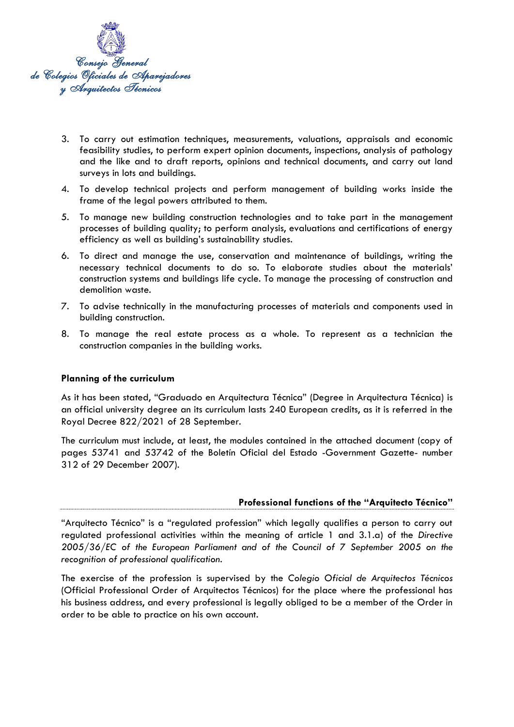

- 3. To carry out estimation techniques, measurements, valuations, appraisals and economic feasibility studies, to perform expert opinion documents, inspections, analysis of pathology and the like and to draft reports, opinions and technical documents, and carry out land surveys in lots and buildings.
- 4. To develop technical projects and perform management of building works inside the frame of the legal powers attributed to them.
- 5. To manage new building construction technologies and to take part in the management processes of building quality; to perform analysis, evaluations and certifications of energy efficiency as well as building's sustainability studies.
- 6. To direct and manage the use, conservation and maintenance of buildings, writing the necessary technical documents to do so. To elaborate studies about the materials' construction systems and buildings life cycle. To manage the processing of construction and demolition waste.
- 7. To advise technically in the manufacturing processes of materials and components used in building construction.
- 8. To manage the real estate process as a whole. To represent as a technician the construction companies in the building works.

### **Planning of the curriculum**

As it has been stated, "Graduado en Arquitectura Técnica" (Degree in Arquitectura Técnica) is an official university degree an its curriculum lasts 240 European credits, as it is referred in the Royal Decree 822/2021 of 28 September.

The curriculum must include, at least, the modules contained in the attached document (copy of pages 53741 and 53742 of the Boletín Oficial del Estado -Government Gazette- number 312 of 29 December 2007).

### **Professional functions of the "Arquitecto Técnico"**

"Arquitecto Técnico" is a "regulated profession" which legally qualifies a person to carry out regulated professional activities within the meaning of article 1 and 3.1.a) of the *Directive 2005/36/EC of the European Parliament and of the Council of 7 September 2005 on the recognition of professional qualification*.

The exercise of the profession is supervised by the *Colegio Oficial de Arquitectos Técnicos* (Official Professional Order of Arquitectos Técnicos) for the place where the professional has his business address, and every professional is legally obliged to be a member of the Order in order to be able to practice on his own account.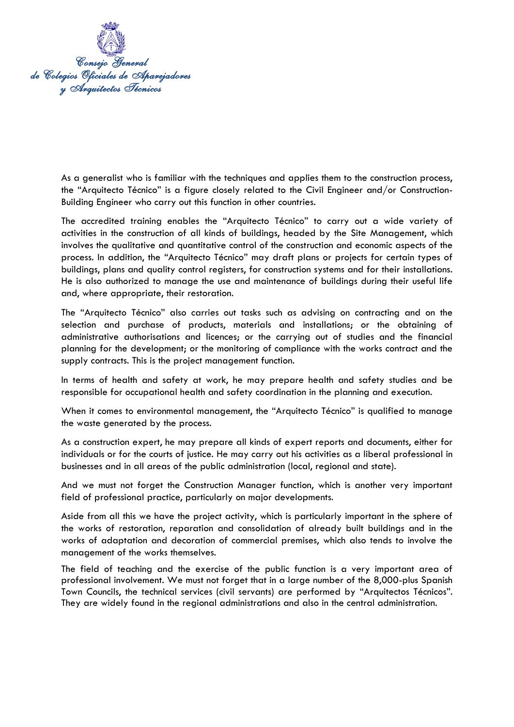

As a generalist who is familiar with the techniques and applies them to the construction process, the "Arquitecto Técnico" is a figure closely related to the Civil Engineer and/or Construction-Building Engineer who carry out this function in other countries.

The accredited training enables the "Arquitecto Técnico" to carry out a wide variety of activities in the construction of all kinds of buildings, headed by the Site Management, which involves the qualitative and quantitative control of the construction and economic aspects of the process. In addition, the "Arquitecto Técnico" may draft plans or projects for certain types of buildings, plans and quality control registers, for construction systems and for their installations. He is also authorized to manage the use and maintenance of buildings during their useful life and, where appropriate, their restoration.

The "Arquitecto Técnico" also carries out tasks such as advising on contracting and on the selection and purchase of products, materials and installations; or the obtaining of administrative authorisations and licences; or the carrying out of studies and the financial planning for the development; or the monitoring of compliance with the works contract and the supply contracts. This is the project management function.

In terms of health and safety at work, he may prepare health and safety studies and be responsible for occupational health and safety coordination in the planning and execution.

When it comes to environmental management, the "Arquitecto Técnico" is qualified to manage the waste generated by the process.

As a construction expert, he may prepare all kinds of expert reports and documents, either for individuals or for the courts of justice. He may carry out his activities as a liberal professional in businesses and in all areas of the public administration (local, regional and state).

And we must not forget the Construction Manager function, which is another very important field of professional practice, particularly on major developments.

Aside from all this we have the project activity, which is particularly important in the sphere of the works of restoration, reparation and consolidation of already built buildings and in the works of adaptation and decoration of commercial premises, which also tends to involve the management of the works themselves.

The field of teaching and the exercise of the public function is a very important area of professional involvement. We must not forget that in a large number of the 8,000-plus Spanish Town Councils, the technical services (civil servants) are performed by "Arquitectos Técnicos". They are widely found in the regional administrations and also in the central administration.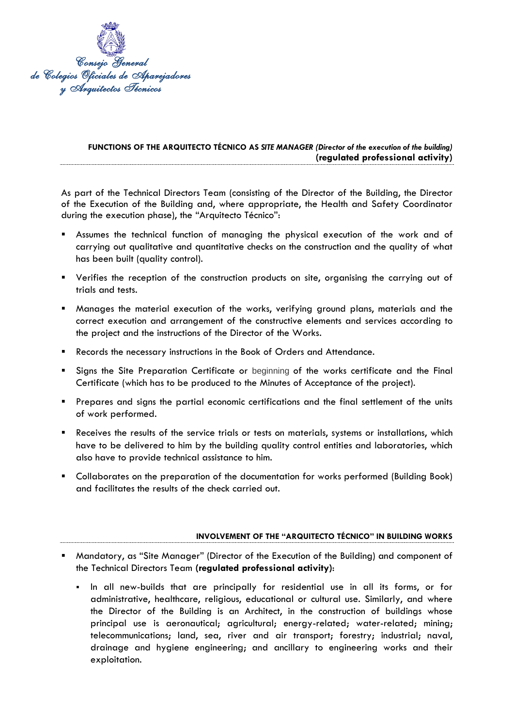

# **FUNCTIONS OF THE ARQUITECTO TÉCNICO AS** *SITE MANAGER (Director of the execution of the building)* **(regulated professional activity)**

As part of the Technical Directors Team (consisting of the Director of the Building, the Director of the Execution of the Building and, where appropriate, the Health and Safety Coordinator during the execution phase), the "Arquitecto Técnico":

- Assumes the technical function of managing the physical execution of the work and of carrying out qualitative and quantitative checks on the construction and the quality of what has been built (quality control).
- Verifies the reception of the construction products on site, organising the carrying out of trials and tests.
- Manages the material execution of the works, verifying ground plans, materials and the correct execution and arrangement of the constructive elements and services according to the project and the instructions of the Director of the Works.
- Records the necessary instructions in the Book of Orders and Attendance.
- Signs the Site Preparation Certificate or beginning of the works certificate and the Final Certificate (which has to be produced to the Minutes of Acceptance of the project).
- Prepares and signs the partial economic certifications and the final settlement of the units of work performed.
- Receives the results of the service trials or tests on materials, systems or installations, which have to be delivered to him by the building quality control entities and laboratories, which also have to provide technical assistance to him.
- Collaborates on the preparation of the documentation for works performed (Building Book) and facilitates the results of the check carried out.

### **INVOLVEMENT OF THE "ARQUITECTO TÉCNICO" IN BUILDING WORKS**

- Mandatory, as "Site Manager" (Director of the Execution of the Building) and component of the Technical Directors Team **(regulated professional activity)**:
	- In all new-builds that are principally for residential use in all its forms, or for administrative, healthcare, religious, educational or cultural use. Similarly, and where the Director of the Building is an Architect, in the construction of buildings whose principal use is aeronautical; agricultural; energy-related; water-related; mining; telecommunications; land, sea, river and air transport; forestry; industrial; naval, drainage and hygiene engineering; and ancillary to engineering works and their exploitation.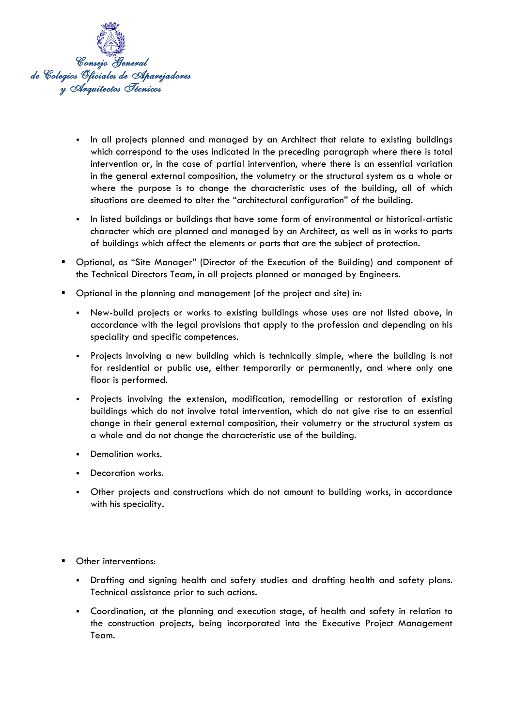

- In all projects planned and managed by an Architect that relate to existing buildings which correspond to the uses indicated in the preceding paragraph where there is total intervention or, in the case of partial intervention, where there is an essential variation in the general external composition, the volumetry or the structural system as a whole or where the purpose is to change the characteristic uses of the building, all of which situations are deemed to alter the "architectural configuration" of the building.
- In listed buildings or buildings that have some form of environmental or historical-artistic character which are planned and managed by an Architect, as well as in works to parts of buildings which affect the elements or parts that are the subject of protection.
- Optional, as "Site Manager" (Director of the Execution of the Building) and component of the Technical Directors Team, in all projects planned or managed by Engineers.
- Optional in the planning and management (of the project and site) in:
	- New-build projects or works to existing buildings whose uses are not listed above, in accordance with the legal provisions that apply to the profession and depending on his speciality and specific competences.
	- Projects involving a new building which is technically simple, where the building is not for residential or public use, either temporarily or permanently, and where only one floor is performed.
	- Projects involving the extension, modification, remodelling or restoration of existing buildings which do not involve total intervention, which do not give rise to an essential change in their general external composition, their volumetry or the structural system as a whole and do not change the characteristic use of the building.
	- **•** Demolition works.
	- Decoration works.
	- Other projects and constructions which do not amount to building works, in accordance with his speciality.
- Other interventions:
	- Drafting and signing health and safety studies and drafting health and safety plans. Technical assistance prior to such actions.
	- Coordination, at the planning and execution stage, of health and safety in relation to the construction projects, being incorporated into the Executive Project Management Team.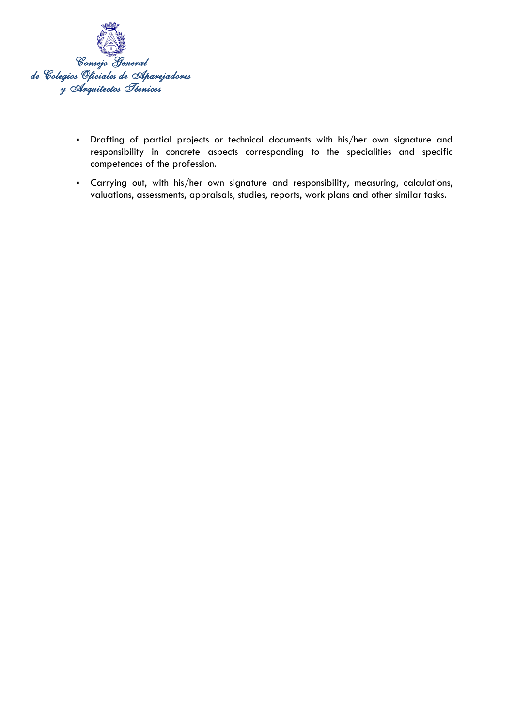

- Drafting of partial projects or technical documents with his/her own signature and responsibility in concrete aspects corresponding to the specialities and specific competences of the profession.
- Carrying out, with his/her own signature and responsibility, measuring, calculations, valuations, assessments, appraisals, studies, reports, work plans and other similar tasks.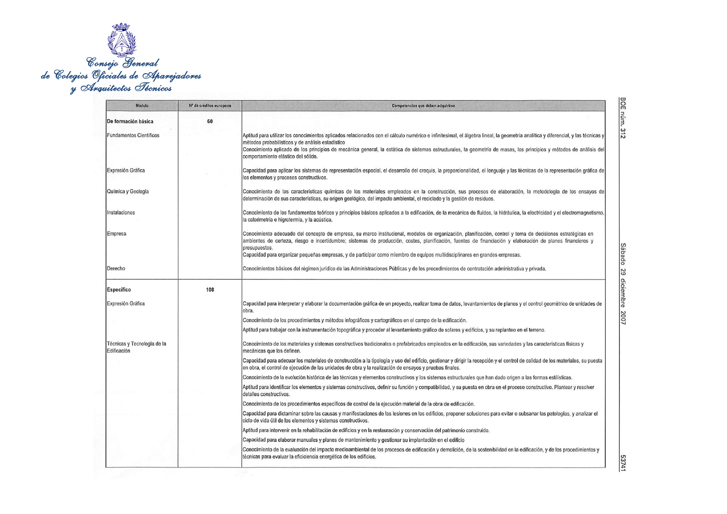

| Módulo                                     | Nº de créditos europeos | Competencias que deben adquirirse                                                                                                                                                                                                                                                                                                          |
|--------------------------------------------|-------------------------|--------------------------------------------------------------------------------------------------------------------------------------------------------------------------------------------------------------------------------------------------------------------------------------------------------------------------------------------|
| De formación básica                        | 60                      |                                                                                                                                                                                                                                                                                                                                            |
| <b>Fundamentos Científicos</b>             |                         | Aptitud para utilizar los conocimientos aplicados relacionados con el cálculo numérico e infinitesimal, el álgebra lineal, la geometría analítica y diferencial, y las técnicas y<br>métodos probabilísticos y de análisis estadístico                                                                                                     |
|                                            |                         | Conocimiento aplicado de los principios de mecánica general, la estática de sistemas estructurales, la geometría de masas, los principios y métodos de análisis del<br>comportamiento elástico del sólido.                                                                                                                                 |
| Expresión Gráfica                          |                         | Capacidad para aplicar los sistemas de representación espacial, el desarrollo del croquis, la proporcionalidad, el lenguaje y las técnicas de la representación gráfica de<br>los elementos y procesos constructivos.                                                                                                                      |
| Química y Geología                         |                         | Conocimiento de las características químicas de los materiales empleados en la construcción, sus procesos de elaboración, la metodología de los ensayos de<br>determinación de sus características, su origen geológico, del impacto ambiental, el reciclado y la gestión de residuos.                                                     |
| Instalaciones                              |                         | Conocimiento de los fundamentos teóricos y principios básicos aplicados a la edificación, de la mecánica de fluidos, la hidráulica, la electricidad y el electromagnetismo,<br>la calorimetría e higrotermia, y la acústica.                                                                                                               |
| Empresa                                    |                         | Conocimiento adecuado del concepto de empresa, su marco institucional, modelos de organización, planificación, control y toma de decisiones estratégicas en<br>ambientes de certeza, riesgo e incertidumbre; sistemas de producción, costes, planificación, fuentes de financiación y elaboración de planes financieros y<br>presupuestos. |
|                                            |                         | Capacidad para organizar pequeñas empresas, y de participar como miembro de equipos multidisciplinares en grandes empresas.                                                                                                                                                                                                                |
| Derecho                                    |                         | Conocimientos básicos del régimen jurídico de las Administraciones Públicas y de los procedimientos de contratación administrativa y privada.                                                                                                                                                                                              |
| <b>Específico</b>                          | 108                     |                                                                                                                                                                                                                                                                                                                                            |
| Expresión Gráfica                          |                         | Capacidad para interpretar y elaborar la documentación gráfica de un proyecto, realizar toma de datos, levantamientos de planos y el control geométrico de unidades de<br>obra.                                                                                                                                                            |
|                                            |                         | Conocimiento de los procedimientos y métodos infográficos y cartográficos en el campo de la edificación.                                                                                                                                                                                                                                   |
|                                            |                         | Aptitud para trabajar con la instrumentación topográfica y proceder al levantamiento gráfico de solares y edificios, y su replanteo en el terreno.                                                                                                                                                                                         |
| Técnicas y Tecnología de la<br>Edificación |                         | Conocimiento de los materiales y sistemas constructivos tradicionales o prefabricados empleados en la edificación, sus variedades y las características físicas y<br>mecánicas que los definen.                                                                                                                                            |
|                                            |                         | Capacidad para adecuar los materiales de construcción a la tipología y uso del edificio, gestionar y dirigir la recepción y el control de calidad de los materiales, su puesta<br>en obra, el control de ejecución de las unidades de obra y la realización de ensayos y pruebas finales.                                                  |
|                                            |                         | Conocimiento de la evolución histórica de las técnicas y elementos constructivos y los sistemas estructurales que han dado origen a las formas estilísticas.                                                                                                                                                                               |
|                                            |                         | Aptitud para identificar los elementos y sistemas constructivos, definir su función y compatibilidad, y su puesta en obra en el proceso constructivo. Plantear y resolver<br>detalles constructivos.                                                                                                                                       |
|                                            |                         | Conocimiento de los procedimientos específicos de control de la ejecución material de la obra de edificación.                                                                                                                                                                                                                              |
|                                            |                         | Capacidad para dictaminar sobre las causas y manifestaciones de las lesiones en los edificios, proponer soluciones para evitar o subsanar las patologías, y analizar el<br>ciclo de vida útil de los elementos y sistemas constructivos.                                                                                                   |
|                                            |                         | Aptitud para intervenir en la rehabilitación de edificios y en la restauración y conservación del patrimonio construido.                                                                                                                                                                                                                   |
|                                            |                         | Capacidad para elaborar manuales y planes de mantenimiento y gestionar su implantación en el edificio                                                                                                                                                                                                                                      |
|                                            |                         | Conocimiento de la evaluación del impacto medioambiental de los procesos de edificación y demolición, de la sostenibilidad en la edificación, y de los procedimientos y<br>técnicas para evaluar la eficiciencia energética de los edificios.                                                                                              |

53741